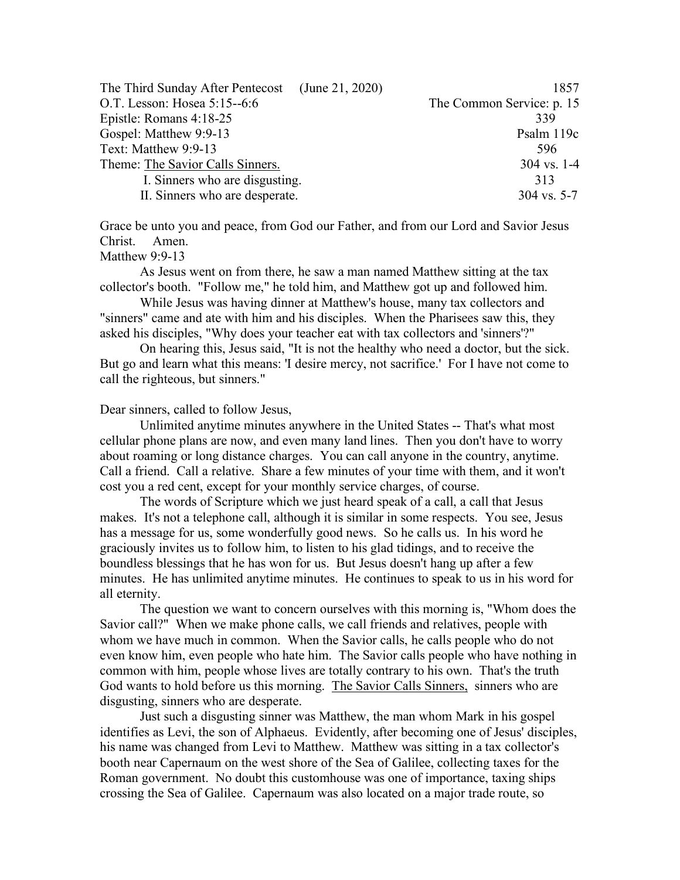| The Third Sunday After Pentecost (June 21, 2020) | 1857                      |
|--------------------------------------------------|---------------------------|
| O.T. Lesson: Hosea 5:15--6:6                     | The Common Service: p. 15 |
| Epistle: Romans 4:18-25                          | 339                       |
| Gospel: Matthew 9:9-13                           | Psalm 119c                |
| Text: Matthew 9:9-13                             | 596                       |
| Theme: The Savior Calls Sinners.                 | $304$ vs. 1-4             |
| I. Sinners who are disgusting.                   | 313                       |
| II. Sinners who are desperate.                   | $304$ vs. 5-7             |

Grace be unto you and peace, from God our Father, and from our Lord and Savior Jesus Christ. Amen.

## Matthew 9:9-13

As Jesus went on from there, he saw a man named Matthew sitting at the tax collector's booth. "Follow me," he told him, and Matthew got up and followed him.

While Jesus was having dinner at Matthew's house, many tax collectors and "sinners" came and ate with him and his disciples. When the Pharisees saw this, they asked his disciples, "Why does your teacher eat with tax collectors and 'sinners'?"

On hearing this, Jesus said, "It is not the healthy who need a doctor, but the sick. But go and learn what this means: 'I desire mercy, not sacrifice.' For I have not come to call the righteous, but sinners."

## Dear sinners, called to follow Jesus,

Unlimited anytime minutes anywhere in the United States -- That's what most cellular phone plans are now, and even many land lines. Then you don't have to worry about roaming or long distance charges. You can call anyone in the country, anytime. Call a friend. Call a relative. Share a few minutes of your time with them, and it won't cost you a red cent, except for your monthly service charges, of course.

The words of Scripture which we just heard speak of a call, a call that Jesus makes. It's not a telephone call, although it is similar in some respects. You see, Jesus has a message for us, some wonderfully good news. So he calls us. In his word he graciously invites us to follow him, to listen to his glad tidings, and to receive the boundless blessings that he has won for us. But Jesus doesn't hang up after a few minutes. He has unlimited anytime minutes. He continues to speak to us in his word for all eternity.

The question we want to concern ourselves with this morning is, "Whom does the Savior call?" When we make phone calls, we call friends and relatives, people with whom we have much in common. When the Savior calls, he calls people who do not even know him, even people who hate him. The Savior calls people who have nothing in common with him, people whose lives are totally contrary to his own. That's the truth God wants to hold before us this morning. The Savior Calls Sinners, sinners who are disgusting, sinners who are desperate.

Just such a disgusting sinner was Matthew, the man whom Mark in his gospel identifies as Levi, the son of Alphaeus. Evidently, after becoming one of Jesus' disciples, his name was changed from Levi to Matthew. Matthew was sitting in a tax collector's booth near Capernaum on the west shore of the Sea of Galilee, collecting taxes for the Roman government. No doubt this customhouse was one of importance, taxing ships crossing the Sea of Galilee. Capernaum was also located on a major trade route, so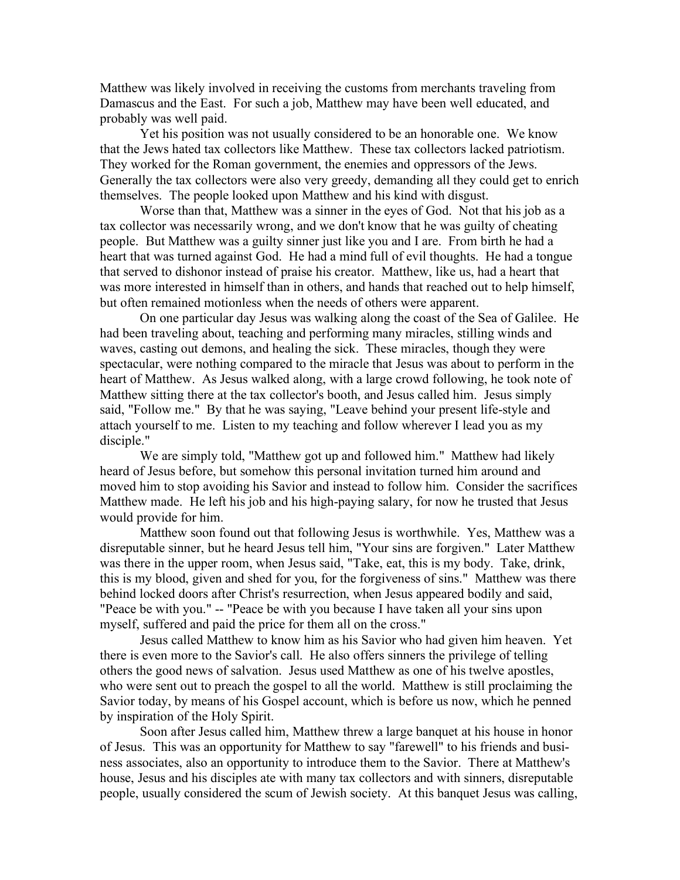Matthew was likely involved in receiving the customs from merchants traveling from Damascus and the East. For such a job, Matthew may have been well educated, and probably was well paid.

Yet his position was not usually considered to be an honorable one. We know that the Jews hated tax collectors like Matthew. These tax collectors lacked patriotism. They worked for the Roman government, the enemies and oppressors of the Jews. Generally the tax collectors were also very greedy, demanding all they could get to enrich themselves. The people looked upon Matthew and his kind with disgust.

Worse than that, Matthew was a sinner in the eyes of God. Not that his job as a tax collector was necessarily wrong, and we don't know that he was guilty of cheating people. But Matthew was a guilty sinner just like you and I are. From birth he had a heart that was turned against God. He had a mind full of evil thoughts. He had a tongue that served to dishonor instead of praise his creator. Matthew, like us, had a heart that was more interested in himself than in others, and hands that reached out to help himself, but often remained motionless when the needs of others were apparent.

On one particular day Jesus was walking along the coast of the Sea of Galilee. He had been traveling about, teaching and performing many miracles, stilling winds and waves, casting out demons, and healing the sick. These miracles, though they were spectacular, were nothing compared to the miracle that Jesus was about to perform in the heart of Matthew. As Jesus walked along, with a large crowd following, he took note of Matthew sitting there at the tax collector's booth, and Jesus called him. Jesus simply said, "Follow me." By that he was saying, "Leave behind your present life-style and attach yourself to me. Listen to my teaching and follow wherever I lead you as my disciple."

We are simply told, "Matthew got up and followed him." Matthew had likely heard of Jesus before, but somehow this personal invitation turned him around and moved him to stop avoiding his Savior and instead to follow him. Consider the sacrifices Matthew made. He left his job and his high-paying salary, for now he trusted that Jesus would provide for him.

Matthew soon found out that following Jesus is worthwhile. Yes, Matthew was a disreputable sinner, but he heard Jesus tell him, "Your sins are forgiven." Later Matthew was there in the upper room, when Jesus said, "Take, eat, this is my body. Take, drink, this is my blood, given and shed for you, for the forgiveness of sins." Matthew was there behind locked doors after Christ's resurrection, when Jesus appeared bodily and said, "Peace be with you." -- "Peace be with you because I have taken all your sins upon myself, suffered and paid the price for them all on the cross."

Jesus called Matthew to know him as his Savior who had given him heaven. Yet there is even more to the Savior's call. He also offers sinners the privilege of telling others the good news of salvation. Jesus used Matthew as one of his twelve apostles, who were sent out to preach the gospel to all the world. Matthew is still proclaiming the Savior today, by means of his Gospel account, which is before us now, which he penned by inspiration of the Holy Spirit.

Soon after Jesus called him, Matthew threw a large banquet at his house in honor of Jesus. This was an opportunity for Matthew to say "farewell" to his friends and business associates, also an opportunity to introduce them to the Savior. There at Matthew's house, Jesus and his disciples ate with many tax collectors and with sinners, disreputable people, usually considered the scum of Jewish society. At this banquet Jesus was calling,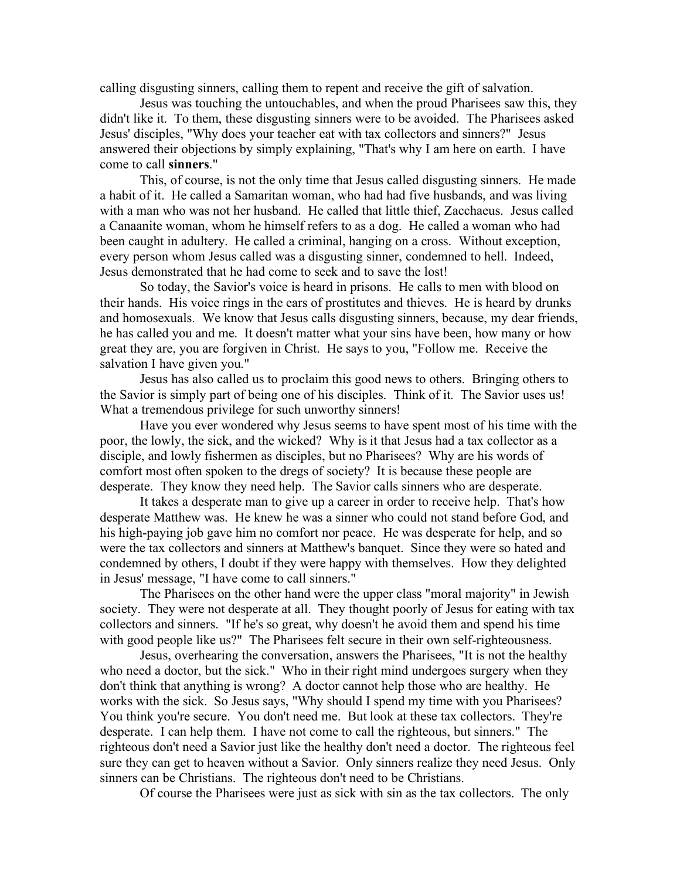calling disgusting sinners, calling them to repent and receive the gift of salvation.

Jesus was touching the untouchables, and when the proud Pharisees saw this, they didn't like it. To them, these disgusting sinners were to be avoided. The Pharisees asked Jesus' disciples, "Why does your teacher eat with tax collectors and sinners?" Jesus answered their objections by simply explaining, "That's why I am here on earth. I have come to call **sinners**."

This, of course, is not the only time that Jesus called disgusting sinners. He made a habit of it. He called a Samaritan woman, who had had five husbands, and was living with a man who was not her husband. He called that little thief, Zacchaeus. Jesus called a Canaanite woman, whom he himself refers to as a dog. He called a woman who had been caught in adultery. He called a criminal, hanging on a cross. Without exception, every person whom Jesus called was a disgusting sinner, condemned to hell. Indeed, Jesus demonstrated that he had come to seek and to save the lost!

So today, the Savior's voice is heard in prisons. He calls to men with blood on their hands. His voice rings in the ears of prostitutes and thieves. He is heard by drunks and homosexuals. We know that Jesus calls disgusting sinners, because, my dear friends, he has called you and me. It doesn't matter what your sins have been, how many or how great they are, you are forgiven in Christ. He says to you, "Follow me. Receive the salvation I have given you."

Jesus has also called us to proclaim this good news to others. Bringing others to the Savior is simply part of being one of his disciples. Think of it. The Savior uses us! What a tremendous privilege for such unworthy sinners!

Have you ever wondered why Jesus seems to have spent most of his time with the poor, the lowly, the sick, and the wicked? Why is it that Jesus had a tax collector as a disciple, and lowly fishermen as disciples, but no Pharisees? Why are his words of comfort most often spoken to the dregs of society? It is because these people are desperate. They know they need help. The Savior calls sinners who are desperate.

It takes a desperate man to give up a career in order to receive help. That's how desperate Matthew was. He knew he was a sinner who could not stand before God, and his high-paying job gave him no comfort nor peace. He was desperate for help, and so were the tax collectors and sinners at Matthew's banquet. Since they were so hated and condemned by others, I doubt if they were happy with themselves. How they delighted in Jesus' message, "I have come to call sinners."

The Pharisees on the other hand were the upper class "moral majority" in Jewish society. They were not desperate at all. They thought poorly of Jesus for eating with tax collectors and sinners. "If he's so great, why doesn't he avoid them and spend his time with good people like us?" The Pharisees felt secure in their own self-righteousness.

Jesus, overhearing the conversation, answers the Pharisees, "It is not the healthy who need a doctor, but the sick." Who in their right mind undergoes surgery when they don't think that anything is wrong? A doctor cannot help those who are healthy. He works with the sick. So Jesus says, "Why should I spend my time with you Pharisees? You think you're secure. You don't need me. But look at these tax collectors. They're desperate. I can help them. I have not come to call the righteous, but sinners." The righteous don't need a Savior just like the healthy don't need a doctor. The righteous feel sure they can get to heaven without a Savior. Only sinners realize they need Jesus. Only sinners can be Christians. The righteous don't need to be Christians.

Of course the Pharisees were just as sick with sin as the tax collectors. The only